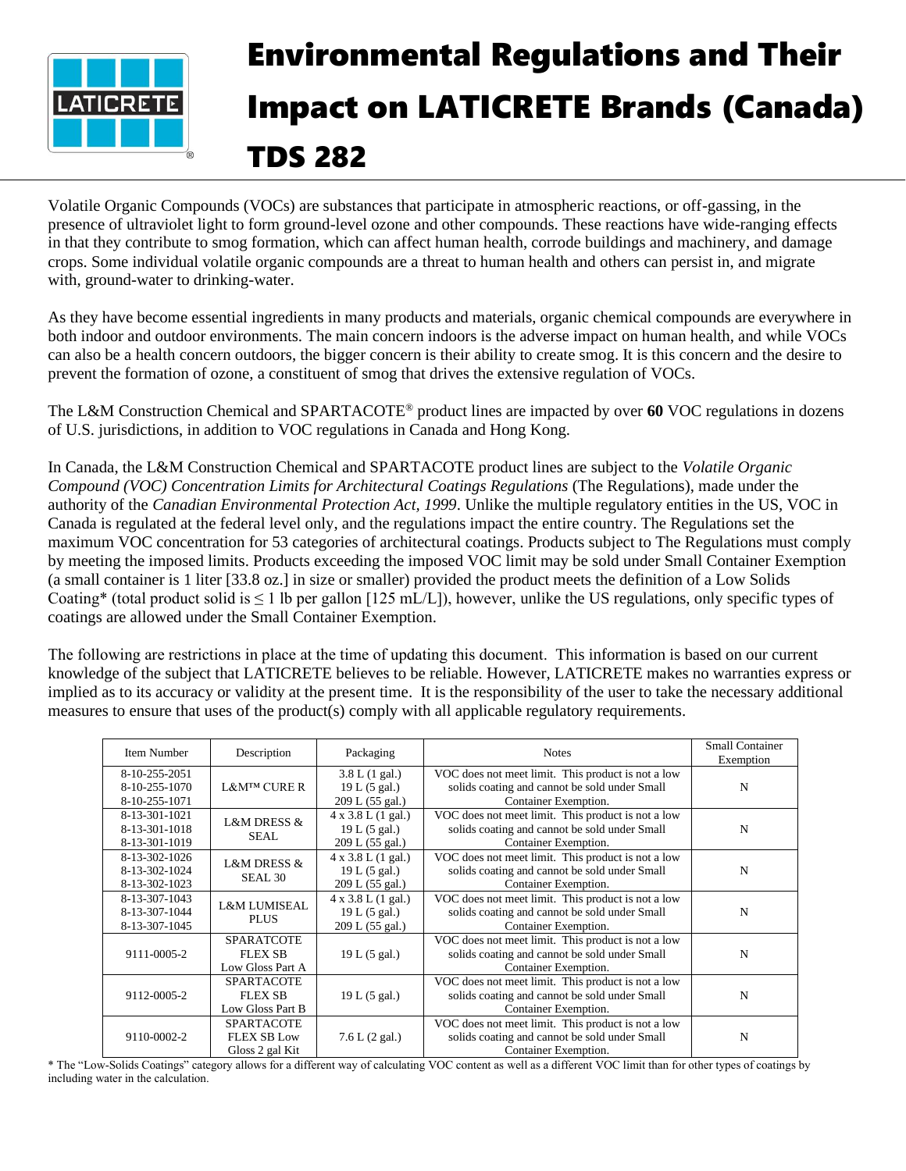

## Environmental Regulations and Their Impact on LATICRETE Brands (Canada) TDS 282

Volatile Organic Compounds (VOCs) are substances that participate in atmospheric reactions, or off-gassing, in the presence of ultraviolet light to form ground-level ozone and other compounds. These reactions have wide-ranging effects in that they contribute to smog formation, which can affect human health, corrode buildings and machinery, and damage crops. Some individual volatile organic compounds are a threat to human health and others can persist in, and migrate with, ground-water to drinking-water.

As they have become essential ingredients in many products and materials, organic chemical compounds are everywhere in both indoor and outdoor environments. The main concern indoors is the adverse impact on human health, and while VOCs can also be a health concern outdoors, the bigger concern is their ability to create smog. It is this concern and the desire to prevent the formation of ozone, a constituent of smog that drives the extensive regulation of VOCs.

The L&M Construction Chemical and SPARTACOTE® product lines are impacted by over **60** VOC regulations in dozens of U.S. jurisdictions, in addition to VOC regulations in Canada and Hong Kong.

In Canada, the L&M Construction Chemical and SPARTACOTE product lines are subject to the *Volatile Organic Compound (VOC) Concentration Limits for Architectural Coatings Regulations* (The Regulations), made under the authority of the *Canadian Environmental Protection Act, 1999*. Unlike the multiple regulatory entities in the US, VOC in Canada is regulated at the federal level only, and the regulations impact the entire country. The Regulations set the maximum VOC concentration for 53 categories of architectural coatings. Products subject to The Regulations must comply by meeting the imposed limits. Products exceeding the imposed VOC limit may be sold under Small Container Exemption (a small container is 1 liter [33.8 oz.] in size or smaller) provided the product meets the definition of a Low Solids Coating\* (total product solid is  $\leq 1$  lb per gallon [125 mL/L]), however, unlike the US regulations, only specific types of coatings are allowed under the Small Container Exemption.

The following are restrictions in place at the time of updating this document. This information is based on our current knowledge of the subject that LATICRETE believes to be reliable. However, LATICRETE makes no warranties express or implied as to its accuracy or validity at the present time. It is the responsibility of the user to take the necessary additional measures to ensure that uses of the product(s) comply with all applicable regulatory requirements.

| Item Number                                     | Description                                                | Packaging                                                     | <b>Notes</b>                                                                                                                | <b>Small Container</b><br>Exemption |
|-------------------------------------------------|------------------------------------------------------------|---------------------------------------------------------------|-----------------------------------------------------------------------------------------------------------------------------|-------------------------------------|
| 8-10-255-2051<br>8-10-255-1070<br>8-10-255-1071 | L&M™ CURE R                                                | 3.8 L (1 gal.)<br>19 L (5 gal.)<br>209 L (55 gal.)            | VOC does not meet limit. This product is not a low<br>solids coating and cannot be sold under Small<br>Container Exemption. | N                                   |
| 8-13-301-1021<br>8-13-301-1018<br>8-13-301-1019 | <b>L&amp;M DRESS &amp;</b><br>SEAL                         | $4 \times 3.8$ L (1 gal.)<br>19 L (5 gal.)<br>209 L (55 gal.) | VOC does not meet limit. This product is not a low<br>solids coating and cannot be sold under Small<br>Container Exemption. | N                                   |
| 8-13-302-1026<br>8-13-302-1024<br>8-13-302-1023 | <b>L&amp;M DRESS &amp;</b><br>SEAL <sub>30</sub>           | $4 \times 3.8$ L (1 gal.)<br>19 L (5 gal.)<br>209 L (55 gal.) | VOC does not meet limit. This product is not a low<br>solids coating and cannot be sold under Small<br>Container Exemption. | N                                   |
| 8-13-307-1043<br>8-13-307-1044<br>8-13-307-1045 | <b>L&amp;M LUMISEAL</b><br><b>PLUS</b>                     | $4 \times 3.8$ L (1 gal.)<br>19 L (5 gal.)<br>209 L (55 gal.) | VOC does not meet limit. This product is not a low<br>solids coating and cannot be sold under Small<br>Container Exemption. | $\mathbf N$                         |
| 9111-0005-2                                     | <b>SPARATCOTE</b><br><b>FLEX SB</b><br>Low Gloss Part A    | 19 L (5 gal.)                                                 | VOC does not meet limit. This product is not a low<br>solids coating and cannot be sold under Small<br>Container Exemption. | N                                   |
| 9112-0005-2                                     | <b>SPARTACOTE</b><br><b>FLEX SB</b><br>Low Gloss Part B    | 19 L (5 gal.)                                                 | VOC does not meet limit. This product is not a low<br>solids coating and cannot be sold under Small<br>Container Exemption. | N                                   |
| 9110-0002-2                                     | <b>SPARTACOTE</b><br><b>FLEX SB Low</b><br>Gloss 2 gal Kit | 7.6 L (2 gal.)                                                | VOC does not meet limit. This product is not a low<br>solids coating and cannot be sold under Small<br>Container Exemption. | N                                   |

\* The "Low-Solids Coatings" category allows for a different way of calculating VOC content as well as a different VOC limit than for other types of coatings by including water in the calculation.